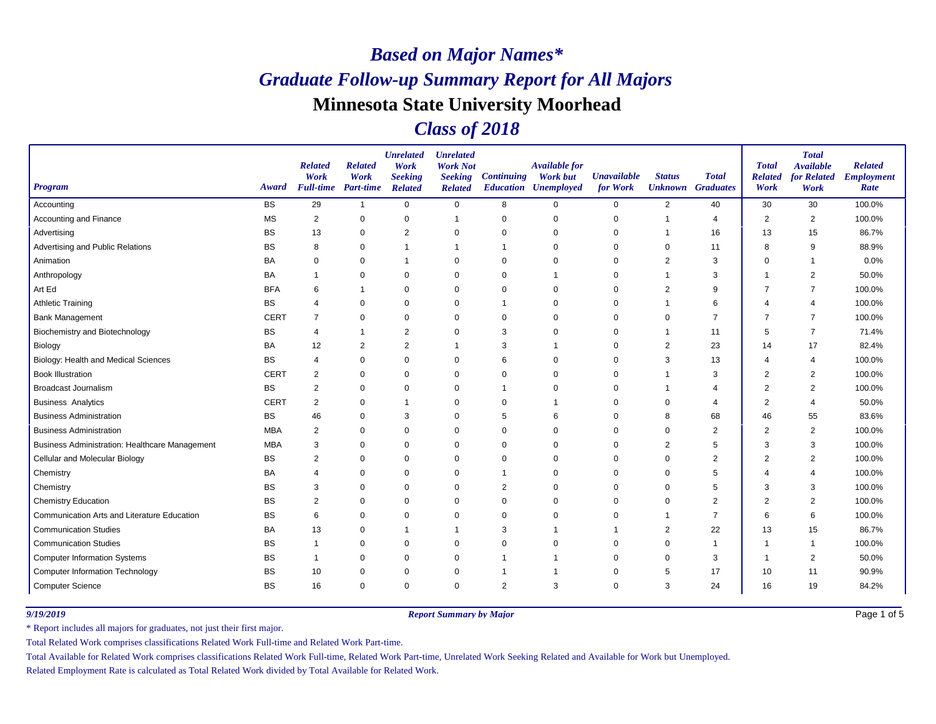### *Class of 2018*

| <b>Program</b>                                        | Award       | <b>Related</b><br>Work<br><b>Full-time</b> | <b>Related</b><br>Work<br>Part-time | <b>Unrelated</b><br>Work<br><b>Seeking</b><br><b>Related</b> | <b>Unrelated</b><br><b>Work Not</b><br><b>Seeking</b><br><b>Related</b> | <b>Continuing</b> | <b>Available for</b><br><b>Work but</b><br><b>Education Unemployed</b> | <b>Unavailable</b><br>for Work | <b>Status</b><br><b>Unknown</b> Graduates | <b>Total</b>   | <b>Total</b><br><b>Related</b><br>Work | <b>Total</b><br><b>Available</b><br>for Related<br>Work | <b>Related</b><br><b>Employment</b><br>Rate |
|-------------------------------------------------------|-------------|--------------------------------------------|-------------------------------------|--------------------------------------------------------------|-------------------------------------------------------------------------|-------------------|------------------------------------------------------------------------|--------------------------------|-------------------------------------------|----------------|----------------------------------------|---------------------------------------------------------|---------------------------------------------|
| Accounting                                            | <b>BS</b>   | 29                                         | $\mathbf{1}$                        | $\mathbf 0$                                                  | $\mathbf 0$                                                             | 8                 | $\mathbf 0$                                                            | 0                              | $\overline{2}$                            | 40             | 30                                     | 30                                                      | 100.0%                                      |
| Accounting and Finance                                | <b>MS</b>   | $\overline{2}$                             | $\mathbf 0$                         | $\mathbf 0$                                                  | $\overline{1}$                                                          | $\mathbf 0$       | $\mathbf 0$                                                            | $\mathbf 0$                    | 1                                         | 4              | $\overline{2}$                         | $\overline{2}$                                          | 100.0%                                      |
| Advertising                                           | BS          | 13                                         | 0                                   | $\overline{2}$                                               | 0                                                                       | $\mathbf 0$       | $\mathbf 0$                                                            | $\mathbf 0$                    | -1                                        | 16             | 13                                     | 15                                                      | 86.7%                                       |
| Advertising and Public Relations                      | <b>BS</b>   | 8                                          | 0                                   | $\overline{1}$                                               |                                                                         |                   | $\Omega$                                                               | 0                              | 0                                         | 11             | 8                                      | 9                                                       | 88.9%                                       |
| Animation                                             | BA          | 0                                          | $\mathbf 0$                         | $\mathbf 1$                                                  | $\mathbf 0$                                                             | $\mathbf 0$       | $\Omega$                                                               | 0                              | $\overline{2}$                            | 3              | $\Omega$                               | -1                                                      | 0.0%                                        |
| Anthropology                                          | BA          |                                            | 0                                   | $\mathbf 0$                                                  | 0                                                                       | 0                 | -1                                                                     | 0                              | -1                                        | 3              |                                        | $\overline{2}$                                          | 50.0%                                       |
| Art Ed                                                | <b>BFA</b>  | 6                                          | -1                                  | $\mathbf 0$                                                  | 0                                                                       | $\mathbf 0$       | $\Omega$                                                               | 0                              | $\overline{2}$                            | 9              | 7                                      | $\overline{7}$                                          | 100.0%                                      |
| <b>Athletic Training</b>                              | <b>BS</b>   | 4                                          | 0                                   | $\mathbf 0$                                                  | 0                                                                       |                   | $\Omega$                                                               | 0                              | -1                                        | 6              | $\overline{4}$                         | $\overline{4}$                                          | 100.0%                                      |
| <b>Bank Management</b>                                | <b>CERT</b> | $\overline{7}$                             | $\mathbf 0$                         | $\mathbf 0$                                                  | $\mathbf 0$                                                             | 0                 | $\mathbf 0$                                                            | $\mathbf 0$                    | $\mathbf 0$                               | $\overline{7}$ | $\overline{7}$                         | $\overline{7}$                                          | 100.0%                                      |
| Biochemistry and Biotechnology                        | <b>BS</b>   | $\overline{4}$                             | $\mathbf 1$                         | $\overline{2}$                                               | 0                                                                       | 3                 | $\Omega$                                                               | 0                              | 1                                         | 11             | 5                                      | $\overline{7}$                                          | 71.4%                                       |
| Biology                                               | BA          | 12                                         | $\overline{2}$                      | $\overline{2}$                                               | -1                                                                      | 3                 | -1                                                                     | 0                              | $\overline{2}$                            | 23             | 14                                     | 17                                                      | 82.4%                                       |
| Biology: Health and Medical Sciences                  | <b>BS</b>   | $\overline{4}$                             | $\mathbf 0$                         | $\mathbf 0$                                                  | 0                                                                       | 6                 | $\mathbf 0$                                                            | $\mathbf 0$                    | 3                                         | 13             | 4                                      | $\overline{4}$                                          | 100.0%                                      |
| <b>Book Illustration</b>                              | <b>CERT</b> | $\overline{2}$                             | $\mathbf 0$                         | $\Omega$                                                     | 0                                                                       | $\mathbf 0$       | $\Omega$                                                               | 0                              | -1                                        | 3              | $\overline{2}$                         | $\overline{2}$                                          | 100.0%                                      |
| <b>Broadcast Journalism</b>                           | <b>BS</b>   | $\overline{c}$                             | 0                                   | $\mathbf 0$                                                  | 0                                                                       |                   | 0                                                                      | 0                              | -1                                        | 4              | $\overline{2}$                         | $\overline{2}$                                          | 100.0%                                      |
| <b>Business Analytics</b>                             | <b>CERT</b> | $\overline{2}$                             | 0                                   | $\overline{1}$                                               | 0                                                                       | 0                 |                                                                        | 0                              | 0                                         | 4              | $\overline{2}$                         | $\overline{4}$                                          | 50.0%                                       |
| <b>Business Administration</b>                        | <b>BS</b>   | 46                                         | $\mathbf 0$                         | 3                                                            | $\mathbf 0$                                                             | 5                 | 6                                                                      | 0                              | 8                                         | 68             | 46                                     | 55                                                      | 83.6%                                       |
| <b>Business Administration</b>                        | <b>MBA</b>  | 2                                          | 0                                   | $\mathbf 0$                                                  | $\mathbf 0$                                                             | $\mathbf 0$       | $\Omega$                                                               | 0                              | $\Omega$                                  | 2              | $\overline{2}$                         | $\overline{2}$                                          | 100.0%                                      |
| <b>Business Administration: Healthcare Management</b> | <b>MBA</b>  | 3                                          | $\mathbf 0$                         | $\mathbf 0$                                                  | $\mathbf 0$                                                             | $\mathbf 0$       | $\mathbf 0$                                                            | $\mathbf 0$                    | $\overline{2}$                            | 5              | 3                                      | 3                                                       | 100.0%                                      |
| Cellular and Molecular Biology                        | <b>BS</b>   | $\overline{2}$                             | $\mathbf 0$                         | $\Omega$                                                     | 0                                                                       | $\mathbf 0$       | $\Omega$                                                               | $\Omega$                       | $\Omega$                                  | $\overline{2}$ | $\overline{2}$                         | $\overline{2}$                                          | 100.0%                                      |
| Chemistry                                             | BA          | 4                                          | $\mathbf 0$                         | $\mathbf 0$                                                  | 0                                                                       |                   | 0                                                                      | 0                              | $\mathbf 0$                               | 5              | Δ                                      | $\overline{4}$                                          | 100.0%                                      |
| Chemistry                                             | BS          | 3                                          | $\mathbf 0$                         | $\mathbf 0$                                                  | 0                                                                       | $\overline{2}$    | $\mathbf 0$                                                            | $\mathbf 0$                    | 0                                         | 5              | 3                                      | 3                                                       | 100.0%                                      |
| <b>Chemistry Education</b>                            | <b>BS</b>   | $\overline{2}$                             | $\mathbf 0$                         | $\Omega$                                                     | 0                                                                       | $\Omega$          | $\Omega$                                                               | 0                              | $\Omega$                                  | $\overline{2}$ | $\overline{2}$                         | $\overline{2}$                                          | 100.0%                                      |
| Communication Arts and Literature Education           | BS          | 6                                          | 0                                   | $\mathbf 0$                                                  | $\mathbf 0$                                                             | 0                 | 0                                                                      | 0                              | -1                                        | $\overline{7}$ | 6                                      | 6                                                       | 100.0%                                      |
| <b>Communication Studies</b>                          | BA          | 13                                         | 0                                   | $\overline{1}$                                               |                                                                         | 3                 |                                                                        |                                | $\overline{2}$                            | 22             | 13                                     | 15                                                      | 86.7%                                       |
| <b>Communication Studies</b>                          | <b>BS</b>   | 1                                          | $\mathbf 0$                         | $\mathbf 0$                                                  | $\mathbf 0$                                                             | $\mathbf 0$       | $\Omega$                                                               | 0                              | $\mathbf 0$                               | $\overline{1}$ | $\overline{\phantom{a}}$               | -1                                                      | 100.0%                                      |
| <b>Computer Information Systems</b>                   | ВS          | $\mathbf 1$                                | 0                                   | $\mathbf 0$                                                  | 0                                                                       |                   | -1                                                                     | 0                              | 0                                         | 3              | -1                                     | $\overline{2}$                                          | 50.0%                                       |
| <b>Computer Information Technology</b>                | BS          | 10                                         | 0                                   | 0                                                            | 0                                                                       |                   |                                                                        | $\mathbf 0$                    | 5                                         | 17             | 10                                     | 11                                                      | 90.9%                                       |
| Computer Science                                      | <b>BS</b>   | 16                                         | $\mathbf 0$                         | $\mathbf 0$                                                  | $\mathbf 0$                                                             | 2                 | 3                                                                      | 0                              | 3                                         | 24             | 16                                     | 19                                                      | 84.2%                                       |

*9/19/2019 Report Summary by Major*

Page 1 of 5

\* Report includes all majors for graduates, not just their first major.

Total Related Work comprises classifications Related Work Full-time and Related Work Part-time.

Total Available for Related Work comprises classifications Related Work Full-time, Related Work Part-time, Unrelated Work Seeking Related and Available for Work but Unemployed.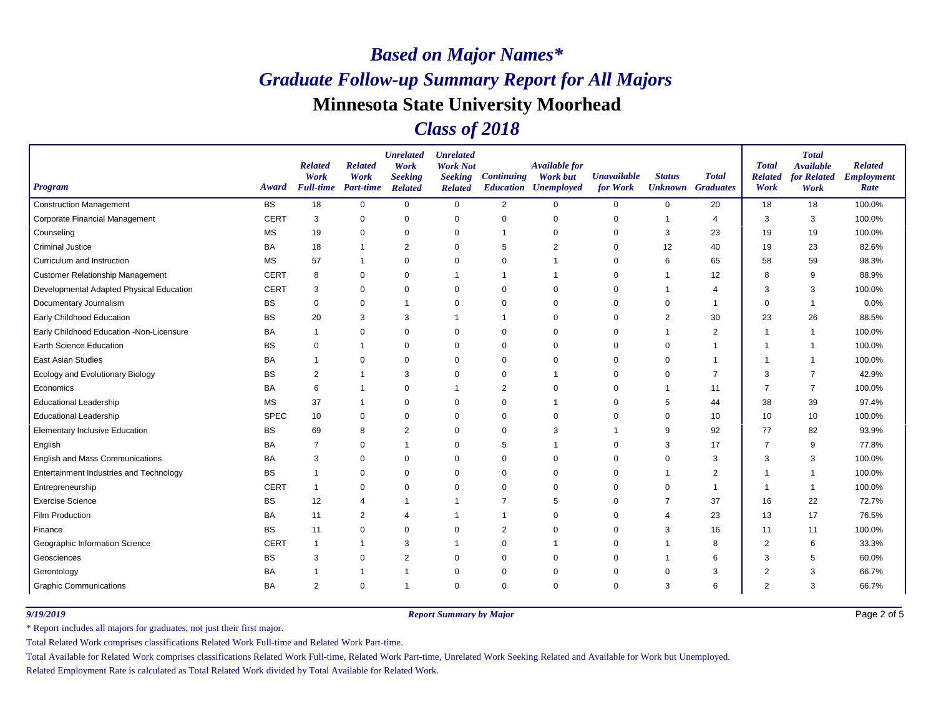### *Class of 2018*

| <b>Program</b>                           | Award       | <b>Related</b><br>Work<br><b>Full-time</b> Part-time | <b>Related</b><br>Work | <b>Unrelated</b><br>Work<br><b>Seeking</b><br><b>Related</b> | <b>Unrelated</b><br><b>Work Not</b><br><b>Seeking</b><br><b>Related</b> | <b>Continuing</b> | <b>Available for</b><br><b>Work but</b><br><b>Education Unemployed</b> | <b>Unavailable</b><br>for Work | <b>Status</b>  | <b>Total</b><br><b>Unknown</b> Graduates | <b>Total</b><br><b>Related</b><br>Work | <b>Total</b><br><b>Available</b><br>for Related<br>Work | <b>Related</b><br><b>Employment</b><br>Rate |
|------------------------------------------|-------------|------------------------------------------------------|------------------------|--------------------------------------------------------------|-------------------------------------------------------------------------|-------------------|------------------------------------------------------------------------|--------------------------------|----------------|------------------------------------------|----------------------------------------|---------------------------------------------------------|---------------------------------------------|
| <b>Construction Management</b>           | <b>BS</b>   | 18                                                   | $\mathbf 0$            | $\mathbf 0$                                                  | $\mathbf 0$                                                             | $\overline{2}$    | $\Omega$                                                               | 0                              | 0              | 20                                       | 18                                     | 18                                                      | 100.0%                                      |
| Corporate Financial Management           | <b>CERT</b> | 3                                                    | $\mathbf 0$            | $\mathbf 0$                                                  | $\mathbf 0$                                                             | 0                 | $\Omega$                                                               | 0                              | $\overline{1}$ | $\overline{4}$                           | 3                                      | 3                                                       | 100.0%                                      |
| Counseling                               | <b>MS</b>   | 19                                                   | 0                      | $\mathbf 0$                                                  | 0                                                                       |                   | $\Omega$                                                               | 0                              | 3              | 23                                       | 19                                     | 19                                                      | 100.0%                                      |
| <b>Criminal Justice</b>                  | BA          | 18                                                   |                        | $\overline{2}$                                               | $\mathbf 0$                                                             | 5                 | $\overline{2}$                                                         | 0                              | 12             | 40                                       | 19                                     | 23                                                      | 82.6%                                       |
| Curriculum and Instruction               | <b>MS</b>   | 57                                                   | $\overline{1}$         | 0                                                            | $\mathbf 0$                                                             | $\Omega$          |                                                                        | 0                              | 6              | 65                                       | 58                                     | 59                                                      | 98.3%                                       |
| <b>Customer Relationship Management</b>  | <b>CERT</b> | 8                                                    | $\mathbf 0$            | $\mathbf 0$                                                  | $\mathbf 1$                                                             |                   |                                                                        | 0                              | -1             | 12                                       | 8                                      | 9                                                       | 88.9%                                       |
| Developmental Adapted Physical Education | <b>CERT</b> | 3                                                    | 0                      | $\mathbf 0$                                                  | 0                                                                       | $\Omega$          | $\Omega$                                                               | 0                              |                | $\overline{4}$                           | 3                                      | 3                                                       | 100.0%                                      |
| Documentary Journalism                   | BS          | $\pmb{0}$                                            | $\pmb{0}$              | $\overline{1}$                                               | 0                                                                       | 0                 | $\Omega$                                                               | 0                              | $\Omega$       | -1                                       | $\Omega$                               | -1                                                      | 0.0%                                        |
| <b>Early Childhood Education</b>         | <b>BS</b>   | 20                                                   | 3                      | 3                                                            | -1                                                                      |                   | $\Omega$                                                               | $\Omega$                       | 2              | 30                                       | 23                                     | 26                                                      | 88.5%                                       |
| Early Childhood Education -Non-Licensure | BA          | 1                                                    | $\mathbf 0$            | $\mathbf 0$                                                  | $\mathbf 0$                                                             | $\Omega$          | $\Omega$                                                               | 0                              |                | $\overline{c}$                           |                                        | $\overline{1}$                                          | 100.0%                                      |
| <b>Earth Science Education</b>           | <b>BS</b>   | 0                                                    |                        | 0                                                            | 0                                                                       | 0                 | $\Omega$                                                               | 0                              | $\Omega$       |                                          |                                        | -1                                                      | 100.0%                                      |
| <b>East Asian Studies</b>                | BA          |                                                      | $\mathbf 0$            | $\mathbf 0$                                                  | $\mathbf 0$                                                             | $\mathbf 0$       | $\Omega$                                                               | 0                              | $\mathbf 0$    |                                          |                                        |                                                         | 100.0%                                      |
| Ecology and Evolutionary Biology         | <b>BS</b>   | $\overline{2}$                                       |                        | 3                                                            | $\Omega$                                                                | $\Omega$          |                                                                        | 0                              | $\Omega$       | $\overline{7}$                           | 3                                      | $\overline{7}$                                          | 42.9%                                       |
| Economics                                | BA          | 6                                                    |                        | $\mathbf 0$                                                  | -1                                                                      | $\overline{a}$    | $\Omega$                                                               | 0                              |                | 11                                       | 7                                      | $\overline{7}$                                          | 100.0%                                      |
| <b>Educational Leadership</b>            | <b>MS</b>   | 37                                                   |                        | $\mathbf 0$                                                  | 0                                                                       | 0                 |                                                                        | 0                              | 5              | 44                                       | 38                                     | 39                                                      | 97.4%                                       |
| <b>Educational Leadership</b>            | <b>SPEC</b> | 10                                                   | $\mathbf 0$            | $\mathbf 0$                                                  | $\mathbf 0$                                                             | $\Omega$          | $\Omega$                                                               | $\Omega$                       | $\Omega$       | 10                                       | 10                                     | 10                                                      | 100.0%                                      |
| <b>Elementary Inclusive Education</b>    | <b>BS</b>   | 69                                                   | 8                      | $\overline{2}$                                               | 0                                                                       | 0                 | 3                                                                      | 1                              | 9              | 92                                       | 77                                     | 82                                                      | 93.9%                                       |
| English                                  | BA          | $\overline{7}$                                       | $\pmb{0}$              | $\mathbf{1}$                                                 | 0                                                                       | 5                 |                                                                        | 0                              | 3              | 17                                       | 7                                      | 9                                                       | 77.8%                                       |
| <b>English and Mass Communications</b>   | BA          | 3                                                    | $\mathbf 0$            | $\mathbf 0$                                                  | $\mathbf 0$                                                             | $\Omega$          | $\Omega$                                                               | 0                              | $\Omega$       | 3                                        | 3                                      | 3                                                       | 100.0%                                      |
| Entertainment Industries and Technology  | <b>BS</b>   | 1                                                    | 0                      | 0                                                            | 0                                                                       | $\Omega$          | $\Omega$                                                               | 0                              |                | 2                                        |                                        | $\overline{1}$                                          | 100.0%                                      |
| Entrepreneurship                         | <b>CERT</b> | $\overline{1}$                                       | $\mathbf 0$            | $\mathbf 0$                                                  | 0                                                                       | 0                 | $\Omega$                                                               | 0                              |                |                                          |                                        | -1                                                      | 100.0%                                      |
| <b>Exercise Science</b>                  | <b>BS</b>   | 12                                                   | $\overline{4}$         | $\mathbf 1$                                                  |                                                                         |                   | 5                                                                      | $\Omega$                       |                | 37                                       | 16                                     | 22                                                      | 72.7%                                       |
| Film Production                          | BA          | 11                                                   | 2                      | $\overline{4}$                                               | -1                                                                      | 1                 | $\Omega$                                                               | 0                              | 4              | 23                                       | 13                                     | 17                                                      | 76.5%                                       |
| Finance                                  | <b>BS</b>   | 11                                                   | 0                      | 0                                                            | 0                                                                       | 2                 | $\Omega$                                                               | 0                              | 3              | 16                                       | 11                                     | 11                                                      | 100.0%                                      |
| Geographic Information Science           | <b>CERT</b> | $\mathbf{1}$                                         |                        | 3                                                            |                                                                         | $\Omega$          |                                                                        | 0                              |                | 8                                        | $\overline{2}$                         | 6                                                       | 33.3%                                       |
| Geosciences                              | <b>BS</b>   | 3                                                    | 0                      | $\overline{2}$                                               | 0                                                                       | 0                 | $\Omega$                                                               | 0                              |                | 6                                        | 3                                      | 5                                                       | 60.0%                                       |
| Gerontology                              | BA          |                                                      |                        | $\mathbf 1$                                                  | 0                                                                       | 0                 | $\Omega$                                                               | 0                              | $\Omega$       | 3                                        |                                        | 3                                                       | 66.7%                                       |
| <b>Graphic Communications</b>            | <b>BA</b>   | $\overline{2}$                                       | $\mathbf 0$            | -1                                                           | $\mathbf 0$                                                             | $\Omega$          | $\Omega$                                                               | $\Omega$                       | 3              | 6                                        | $\overline{2}$                         | 3                                                       | 66.7%                                       |

*9/19/2019 Report Summary by Major*

Page 2 of 5

\* Report includes all majors for graduates, not just their first major.

Total Related Work comprises classifications Related Work Full-time and Related Work Part-time.

Total Available for Related Work comprises classifications Related Work Full-time, Related Work Part-time, Unrelated Work Seeking Related and Available for Work but Unemployed.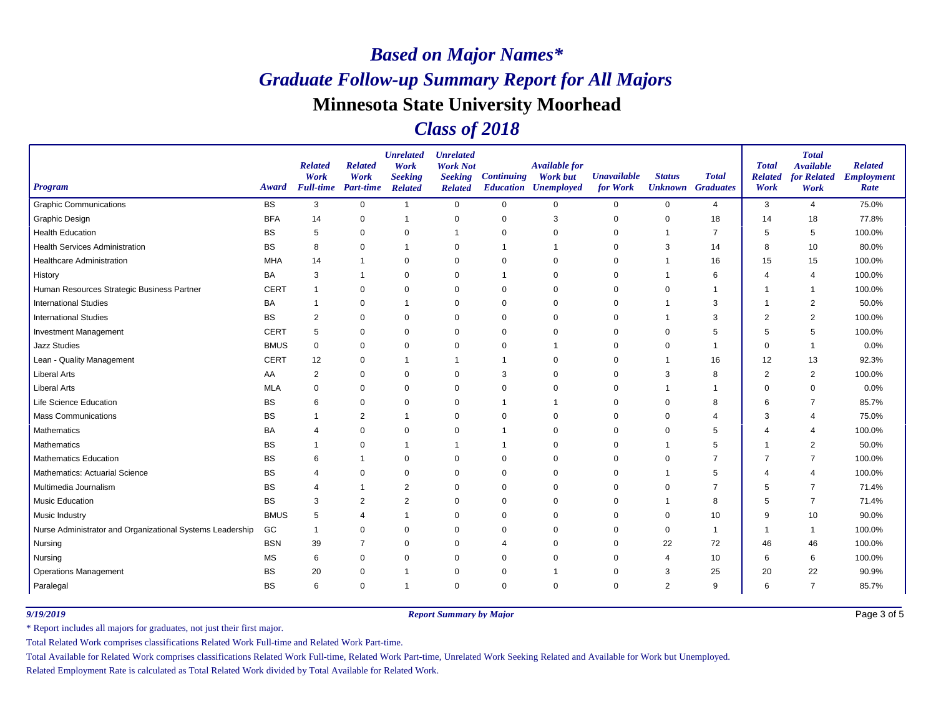### *Class of 2018*

| <b>Program</b>                                            | Award       | <b>Related</b><br>Work<br><b>Full-time</b> | <b>Related</b><br>Work<br>Part-time | <b>Unrelated</b><br>Work<br><b>Seeking</b><br><b>Related</b> | <b>Unrelated</b><br><b>Work Not</b><br><b>Seeking</b><br><b>Related</b> | <b>Continuing</b> | <b>Available for</b><br><b>Work but</b><br><b>Education Unemployed</b> | <b>Unavailable</b><br>for Work | <b>Status</b><br><b>Unknown</b> Graduates | <b>Total</b>   | <b>Total</b><br><b>Related</b><br>Work | <b>Total</b><br><b>Available</b><br>for Related<br>Work | <b>Related</b><br><b>Employment</b><br>Rate |
|-----------------------------------------------------------|-------------|--------------------------------------------|-------------------------------------|--------------------------------------------------------------|-------------------------------------------------------------------------|-------------------|------------------------------------------------------------------------|--------------------------------|-------------------------------------------|----------------|----------------------------------------|---------------------------------------------------------|---------------------------------------------|
| <b>Graphic Communications</b>                             | <b>BS</b>   | 3                                          | $\mathbf 0$                         | $\mathbf{1}$                                                 | $\mathbf 0$                                                             | $\mathbf 0$       | $\Omega$                                                               | $\mathbf 0$                    | $\mathbf 0$                               | $\overline{4}$ | 3                                      | $\overline{4}$                                          | 75.0%                                       |
| <b>Graphic Design</b>                                     | <b>BFA</b>  | 14                                         | 0                                   | $\mathbf 1$                                                  | $\mathbf 0$                                                             | $\mathbf 0$       | 3                                                                      | $\mathbf 0$                    | $\mathbf 0$                               | 18             | 14                                     | 18                                                      | 77.8%                                       |
| <b>Health Education</b>                                   | <b>BS</b>   | 5                                          | 0                                   | $\mathbf 0$                                                  | -1                                                                      | $\mathbf 0$       | $\mathbf 0$                                                            | $\mathbf 0$                    | 1                                         | 7              | 5                                      | 5                                                       | 100.0%                                      |
| Health Services Administration                            | <b>BS</b>   | 8                                          | $\Omega$                            | $\overline{1}$                                               | $\mathbf 0$                                                             | -1                | 1                                                                      | 0                              | 3                                         | 14             | 8                                      | 10                                                      | 80.0%                                       |
| Healthcare Administration                                 | <b>MHA</b>  | 14                                         |                                     | $\mathbf 0$                                                  | 0                                                                       | $\mathbf 0$       | $\Omega$                                                               | 0                              | 1                                         | 16             | 15                                     | 15                                                      | 100.0%                                      |
| History                                                   | <b>BA</b>   | 3                                          |                                     | $\mathbf 0$                                                  | 0                                                                       | $\mathbf{1}$      | $\mathbf 0$                                                            | $\mathbf 0$                    | 1                                         | 6              | 4                                      | $\overline{4}$                                          | 100.0%                                      |
| Human Resources Strategic Business Partner                | <b>CERT</b> | $\overline{1}$                             | $\mathbf 0$                         | $\Omega$                                                     | $\mathbf 0$                                                             | $\mathbf 0$       | $\Omega$                                                               | 0                              | 0                                         |                | $\overline{1}$                         | -1                                                      | 100.0%                                      |
| <b>International Studies</b>                              | BA          | $\overline{1}$                             | $\mathbf 0$                         | $\mathbf 1$                                                  | 0                                                                       | $\mathbf 0$       | $\Omega$                                                               | 0                              | 1                                         | 3              | -1                                     | $\overline{2}$                                          | 50.0%                                       |
| <b>International Studies</b>                              | <b>BS</b>   | $\overline{2}$                             | $\mathbf 0$                         | $\Omega$                                                     | 0                                                                       | $\mathbf 0$       | $\mathbf 0$                                                            | $\mathbf 0$                    | 1                                         | 3              | $\overline{2}$                         | $\overline{2}$                                          | 100.0%                                      |
| Investment Management                                     | <b>CERT</b> | 5                                          | $\Omega$                            | $\Omega$                                                     | $\mathbf 0$                                                             | $\mathbf 0$       | $\Omega$                                                               | $\Omega$                       | $\Omega$                                  | 5              | 5                                      | 5                                                       | 100.0%                                      |
| Jazz Studies                                              | <b>BMUS</b> | $\mathbf 0$                                | $\mathbf 0$                         | $\mathbf 0$                                                  | 0                                                                       | $\mathbf 0$       | 1                                                                      | 0                              | 0                                         | -1             | $\Omega$                               | $\overline{\mathbf{1}}$                                 | 0.0%                                        |
| Lean - Quality Management                                 | <b>CERT</b> | 12                                         | $\mathbf 0$                         | $\mathbf 1$                                                  | -1                                                                      | $\mathbf{1}$      | $\mathbf 0$                                                            | $\mathbf 0$                    | 1                                         | 16             | 12                                     | 13                                                      | 92.3%                                       |
| <b>Liberal Arts</b>                                       | AA          | $\overline{2}$                             | $\mathbf 0$                         | $\Omega$                                                     | $\mathbf 0$                                                             | 3                 | $\Omega$                                                               | $\mathbf 0$                    | 3                                         | 8              | $\overline{2}$                         | $\overline{2}$                                          | 100.0%                                      |
| <b>Liberal Arts</b>                                       | <b>MLA</b>  | 0                                          | $\mathbf 0$                         | $\mathbf 0$                                                  | 0                                                                       | $\mathbf 0$       | $\mathbf 0$                                                            | 0                              | 1                                         | -1             | $\Omega$                               | $\mathbf 0$                                             | 0.0%                                        |
| Life Science Education                                    | <b>BS</b>   | 6                                          | 0                                   | 0                                                            | $\mathbf 0$                                                             | $\mathbf{1}$      | 1                                                                      | $\mathbf 0$                    | 0                                         | 8              | 6                                      | 7                                                       | 85.7%                                       |
| <b>Mass Communications</b>                                | <b>BS</b>   | -1                                         | 2                                   | $\mathbf 1$                                                  | $\mathbf 0$                                                             | $\mathbf 0$       | $\Omega$                                                               | 0                              | 0                                         | 4              | 3                                      | $\overline{4}$                                          | 75.0%                                       |
| Mathematics                                               | BA          | 4                                          | $\mathbf 0$                         | $\Omega$                                                     | $\Omega$                                                                | $\mathbf 1$       | $\Omega$                                                               | 0                              | $\Omega$                                  | 5              | 4                                      | $\overline{4}$                                          | 100.0%                                      |
| Mathematics                                               | <b>BS</b>   | $\mathbf 1$                                | $\mathbf 0$                         | $\mathbf 1$                                                  | -1                                                                      | $\mathbf{1}$      | $\Omega$                                                               | $\mathbf 0$                    | 1                                         | 5              | $\overline{1}$                         | $\overline{2}$                                          | 50.0%                                       |
| Mathematics Education                                     | <b>BS</b>   | 6                                          |                                     | $\Omega$                                                     | $\Omega$                                                                | $\overline{0}$    | $\Omega$                                                               | $\Omega$                       | $\Omega$                                  | $\overline{7}$ | $\overline{7}$                         | $\overline{7}$                                          | 100.0%                                      |
| Mathematics: Actuarial Science                            | <b>BS</b>   | $\overline{4}$                             | $\mathbf 0$                         | $\mathbf 0$                                                  | 0                                                                       | $\mathbf 0$       | $\Omega$                                                               | 0                              | 1                                         | 5              | 4                                      | $\overline{4}$                                          | 100.0%                                      |
| Multimedia Journalism                                     | <b>BS</b>   | 4                                          |                                     | $\overline{2}$                                               | $\mathbf 0$                                                             | $\mathbf 0$       | $\mathbf 0$                                                            | $\mathbf 0$                    | 0                                         | $\overline{7}$ | 5                                      | 7                                                       | 71.4%                                       |
| Music Education                                           | <b>BS</b>   | 3                                          | $\overline{2}$                      | $\overline{2}$                                               | $\mathbf 0$                                                             | $\overline{0}$    | $\Omega$                                                               | $\Omega$                       | 1                                         | 8              | 5                                      | $\overline{7}$                                          | 71.4%                                       |
| Music Industry                                            | <b>BMUS</b> | 5                                          | 4                                   | $\mathbf 1$                                                  | 0                                                                       | $\mathbf 0$       | $\Omega$                                                               | 0                              | 0                                         | 10             | 9                                      | 10                                                      | 90.0%                                       |
| Nurse Administrator and Organizational Systems Leadership | GC          | $\overline{1}$                             | $\mathbf 0$                         | $\mathbf 0$                                                  | 0                                                                       | 0                 | $\Omega$                                                               | $\mathbf 0$                    | 0                                         | -1             | $\overline{\phantom{a}}$               | $\overline{\mathbf{1}}$                                 | 100.0%                                      |
| Nursing                                                   | <b>BSN</b>  | 39                                         | $\overline{7}$                      | $\mathbf 0$                                                  | $\mathbf 0$                                                             | 4                 | $\Omega$                                                               | $\mathbf 0$                    | 22                                        | 72             | 46                                     | 46                                                      | 100.0%                                      |
| Nursing                                                   | <b>MS</b>   | 6                                          | $\mathbf 0$                         | $\mathbf 0$                                                  | 0                                                                       | $\Omega$          | $\Omega$                                                               | 0                              | 4                                         | 10             | 6                                      | 6                                                       | 100.0%                                      |
| <b>Operations Management</b>                              | <b>BS</b>   | 20                                         | 0                                   | -1                                                           | $\mathbf 0$                                                             | $\mathbf 0$       | 1                                                                      | $\mathbf 0$                    | 3                                         | 25             | 20                                     | 22                                                      | 90.9%                                       |
| Paralegal                                                 | <b>BS</b>   | 6                                          | $\Omega$                            | $\overline{1}$                                               | $\Omega$                                                                | $\mathbf 0$       | $\Omega$                                                               | $\Omega$                       | $\overline{2}$                            | 9              | 6                                      | $\overline{7}$                                          | 85.7%                                       |

*9/19/2019 Report Summary by Major*

Page 3 of 5

\* Report includes all majors for graduates, not just their first major.

Total Related Work comprises classifications Related Work Full-time and Related Work Part-time.

Total Available for Related Work comprises classifications Related Work Full-time, Related Work Part-time, Unrelated Work Seeking Related and Available for Work but Unemployed.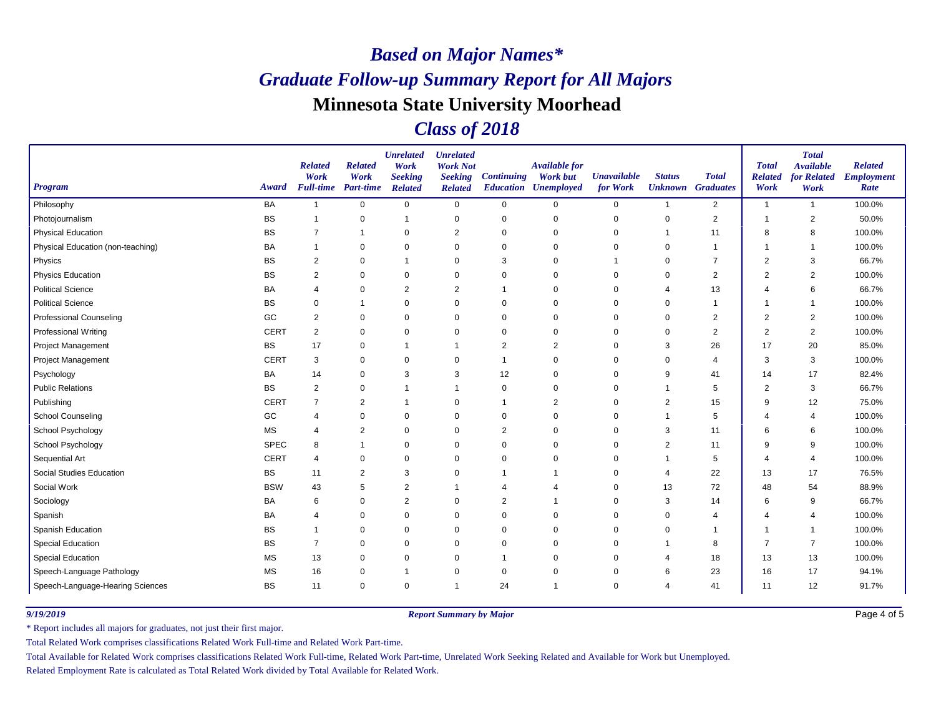### *Class of 2018*

| <b>Program</b>                    | Award       | <b>Related</b><br>Work<br><b>Full-time</b> | <b>Related</b><br>Work<br>Part-time | <b>Unrelated</b><br>Work<br><b>Seeking</b><br><b>Related</b> | <b>Unrelated</b><br><b>Work Not</b><br><b>Seeking</b><br><b>Related</b> | <b>Continuing</b> | <b>Available for</b><br><b>Work but</b><br><b>Education Unemployed</b> | <b>Unavailable</b><br>for Work | <b>Status</b><br><b>Unknown</b> Graduates | <b>Total</b>   | <b>Total</b><br><b>Related</b><br>Work | <b>Total</b><br><b>Available</b><br>for Related<br>Work | <b>Related</b><br><b>Employment</b><br>Rate |
|-----------------------------------|-------------|--------------------------------------------|-------------------------------------|--------------------------------------------------------------|-------------------------------------------------------------------------|-------------------|------------------------------------------------------------------------|--------------------------------|-------------------------------------------|----------------|----------------------------------------|---------------------------------------------------------|---------------------------------------------|
| Philosophy                        | <b>BA</b>   | $\overline{1}$                             | $\mathbf 0$                         | $\mathbf 0$                                                  | $\mathbf 0$                                                             | $\mathbf 0$       | 0                                                                      | 0                              | 1                                         | $\overline{2}$ | $\overline{1}$                         | $\overline{1}$                                          | 100.0%                                      |
| Photojournalism                   | BS          | -1                                         | $\mathbf 0$                         | $\mathbf 1$                                                  | $\pmb{0}$                                                               | $\mathbf 0$       | $\mathbf 0$                                                            | $\mathbf 0$                    | $\pmb{0}$                                 | $\overline{2}$ | $\overline{1}$                         | $\overline{2}$                                          | 50.0%                                       |
| <b>Physical Education</b>         | <b>BS</b>   | 7                                          | -1                                  | $\mathbf 0$                                                  | $\overline{2}$                                                          | $\mathbf 0$       | $\mathbf 0$                                                            | $\mathbf 0$                    | 1                                         | 11             | 8                                      | 8                                                       | 100.0%                                      |
| Physical Education (non-teaching) | BA          |                                            | 0                                   | $\Omega$                                                     | 0                                                                       | 0                 | $\Omega$                                                               | 0                              | 0                                         | $\overline{1}$ |                                        | -1                                                      | 100.0%                                      |
| Physics                           | <b>BS</b>   | 2                                          | $\mathbf 0$                         | -1                                                           | $\mathbf 0$                                                             | 3                 | $\mathbf 0$                                                            |                                | 0                                         | $\overline{7}$ | $\overline{2}$                         | 3                                                       | 66.7%                                       |
| <b>Physics Education</b>          | BS          | 2                                          | 0                                   | $\mathbf 0$                                                  | 0                                                                       | 0                 | $\mathbf 0$                                                            | 0                              | $\mathbf 0$                               | $\overline{2}$ | $\overline{2}$                         | $\overline{2}$                                          | 100.0%                                      |
| <b>Political Science</b>          | BA          | 4                                          | $\mathbf 0$                         | $\overline{2}$                                               | 2                                                                       |                   | 0                                                                      | 0                              | 4                                         | 13             | 4                                      | 6                                                       | 66.7%                                       |
| <b>Political Science</b>          | <b>BS</b>   | 0                                          | -1                                  | 0                                                            | 0                                                                       | 0                 | 0                                                                      | 0                              | 0                                         | -1             | $\overline{\phantom{a}}$               | -1                                                      | 100.0%                                      |
| <b>Professional Counseling</b>    | GC          | $\overline{c}$                             | $\mathbf 0$                         | $\mathbf 0$                                                  | 0                                                                       | 0                 | $\mathbf 0$                                                            | $\mathbf 0$                    | 0                                         | $\overline{2}$ | $\overline{2}$                         | $\overline{2}$                                          | 100.0%                                      |
| <b>Professional Writing</b>       | <b>CERT</b> | 2                                          | 0                                   | $\Omega$                                                     | 0                                                                       | $\mathbf 0$       | $\Omega$                                                               | 0                              | $\Omega$                                  | $\overline{2}$ | 2                                      | $\overline{2}$                                          | 100.0%                                      |
| Project Management                | BS          | 17                                         | $\mathbf 0$                         | $\overline{1}$                                               | -1                                                                      | 2                 | $\overline{2}$                                                         | 0                              | 3                                         | 26             | 17                                     | 20                                                      | 85.0%                                       |
| <b>Project Management</b>         | <b>CERT</b> | 3                                          | $\mathbf 0$                         | $\mathbf 0$                                                  | 0                                                                       | -1                | $\mathbf 0$                                                            | 0                              | $\mathbf 0$                               | $\overline{4}$ | 3                                      | 3                                                       | 100.0%                                      |
| Psychology                        | BA          | 14                                         | 0                                   | 3                                                            | 3                                                                       | 12                | $\Omega$                                                               | 0                              | 9                                         | 41             | 14                                     | 17                                                      | 82.4%                                       |
| <b>Public Relations</b>           | <b>BS</b>   | $\overline{c}$                             | 0                                   | -1                                                           | -1                                                                      | $\mathbf 0$       | $\mathbf 0$                                                            | 0                              | -1                                        | 5              | $\overline{2}$                         | 3                                                       | 66.7%                                       |
| Publishing                        | <b>CERT</b> | $\overline{7}$                             | $\overline{2}$                      | $\overline{1}$                                               | 0                                                                       |                   | 2                                                                      | 0                              | $\overline{2}$                            | 15             | 9                                      | 12                                                      | 75.0%                                       |
| <b>School Counseling</b>          | GC          | 4                                          | $\mathbf 0$                         | $\mathbf 0$                                                  | 0                                                                       | $\mathbf 0$       | $\mathbf 0$                                                            | 0                              |                                           | 5              | 4                                      | $\overline{4}$                                          | 100.0%                                      |
| School Psychology                 | <b>MS</b>   | 4                                          | 2                                   | $\mathbf 0$                                                  | $\mathbf 0$                                                             | 2                 | $\Omega$                                                               | 0                              | 3                                         | 11             | 6                                      | 6                                                       | 100.0%                                      |
| School Psychology                 | <b>SPEC</b> | 8                                          | $\mathbf 1$                         | $\mathbf 0$                                                  | $\mathbf 0$                                                             | $\mathbf 0$       | $\mathbf 0$                                                            | $\mathbf 0$                    | $\overline{2}$                            | 11             | 9                                      | 9                                                       | 100.0%                                      |
| Sequential Art                    | <b>CERT</b> | $\overline{4}$                             | $\mathbf 0$                         | $\Omega$                                                     | 0                                                                       | $\mathbf 0$       | $\Omega$                                                               | 0                              | 1                                         | 5              | 4                                      | $\overline{4}$                                          | 100.0%                                      |
| Social Studies Education          | BS          | 11                                         | $\overline{2}$                      | 3                                                            | 0                                                                       |                   | -1                                                                     | 0                              | 4                                         | 22             | 13                                     | 17                                                      | 76.5%                                       |
| Social Work                       | <b>BSW</b>  | 43                                         | 5                                   | $\overline{2}$                                               |                                                                         | 4                 | 4                                                                      | $\mathbf 0$                    | 13                                        | 72             | 48                                     | 54                                                      | 88.9%                                       |
| Sociology                         | BA          | 6                                          | $\mathbf 0$                         | $\overline{2}$                                               | 0                                                                       | 2                 | -1                                                                     | 0                              | 3                                         | 14             | 6                                      | 9                                                       | 66.7%                                       |
| Spanish                           | <b>BA</b>   | 4                                          | $\mathbf 0$                         | $\mathbf 0$                                                  | $\mathbf 0$                                                             | $\mathbf 0$       | $\mathbf 0$                                                            | 0                              | 0                                         | 4              | 4                                      | $\overline{4}$                                          | 100.0%                                      |
| Spanish Education                 | BS          |                                            | 0                                   | 0                                                            | 0                                                                       | 0                 | $\mathbf 0$                                                            | 0                              | $\mathbf 0$                               |                |                                        |                                                         | 100.0%                                      |
| Special Education                 | <b>BS</b>   | $\overline{7}$                             | $\mathbf 0$                         | $\mathbf 0$                                                  | $\mathbf 0$                                                             | 0                 | $\Omega$                                                               | 0                              | 1                                         | 8              | $\overline{7}$                         | $\overline{7}$                                          | 100.0%                                      |
| <b>Special Education</b>          | <b>MS</b>   | 13                                         | 0                                   | 0                                                            | 0                                                                       |                   | $\mathbf 0$                                                            | 0                              | 4                                         | 18             | 13                                     | 13                                                      | 100.0%                                      |
| Speech-Language Pathology         | <b>MS</b>   | 16                                         | $\mathbf 0$                         | $\mathbf 1$                                                  | 0                                                                       | 0                 | $\mathbf 0$                                                            | $\mathbf 0$                    | 6                                         | 23             | 16                                     | 17                                                      | 94.1%                                       |
| Speech-Language-Hearing Sciences  | <b>BS</b>   | 11                                         | $\mathbf 0$                         | $\mathbf 0$                                                  | $\overline{1}$                                                          | 24                | -1                                                                     | 0                              | $\overline{4}$                            | 41             | 11                                     | 12                                                      | 91.7%                                       |

*9/19/2019 Report Summary by Major*

Page 4 of 5

\* Report includes all majors for graduates, not just their first major.

Total Related Work comprises classifications Related Work Full-time and Related Work Part-time.

Total Available for Related Work comprises classifications Related Work Full-time, Related Work Part-time, Unrelated Work Seeking Related and Available for Work but Unemployed.